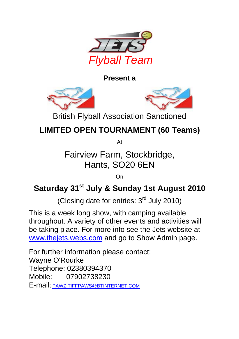

**Present a**





British Flyball Association Sanctioned

## **LIMITED OPEN TOURNAMENT (60 Teams)**

At

Fairview Farm, Stockbridge, Hants, SO20 6EN

On

### Saturday 31<sup>st</sup> July & Sunday 1st August 2010

(Closing date for entries:  $3<sup>rd</sup>$  July 2010)

This is a week long show, with camping available throughout. A variety of other events and activities will be taking place. For more info see the Jets website at www.thejets.webs.com and go to Show Admin page.

For further information please contact: Wayne O'Rourke Telephone: 02380394370 Mobile: 07902738230 E-mail: PAWZITIFFPAWS@BTINTERNET.COM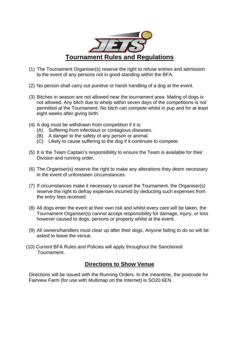

- (1) The Tournament Organiser(s) reserve the right to refuse entries and admission to the event of any persons not in good standing within the BFA.
- (2) No person shall carry out punitive or harsh handling of a dog at the event.
- (3) Bitches in season are not allowed near the tournament area. Mating of dogs is not allowed. Any bitch due to whelp within seven days of the competitions is not permitted at the Tournament. No bitch can compete whilst in pup and for at least eight weeks after giving birth.
- (4) A dog must be withdrawn from competition if it is:
	- (A) Suffering from infectious or contagious diseases.
	- (B) A danger to the safety of any person or animal.
	- (C) Likely to cause suffering to the dog if it continues to compete.
- (5) It is the Team Captain's responsibility to ensure the Team is available for their Division and running order.
- (6) The Organiser(s) reserve the right to make any alterations they deem necessary in the event of unforeseen circumstances.
- (7) If circumstances make it necessary to cancel the Tournament, the Organiser(s) reserve the right to defray expenses incurred by deducting such expenses from the entry fees received.
- (8) All dogs enter the event at their own risk and whilst every care will be taken, the Tournament Organiser(s) cannot accept responsibility for damage, injury, or loss however caused to dogs, persons or property whilst at the event.
- (9) All owners/handlers must clear up after their dogs. Anyone failing to do so will be asked to leave the venue.
- (10) Current BFA Rules and Policies will apply throughout the Sanctioned Tournament.

### **Directions to Show Venue**

Directions will be issued with the Running Orders. In the meantime, the postcode for Fairview Farm (for use with Multimap on the Internet) is SO20 6EN.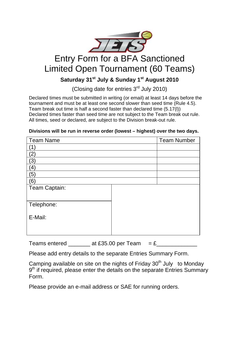

## Entry Form for a BFA Sanctioned Limited Open Tournament (60 Teams)

### Saturday 31<sup>st</sup> July & Sunday 1<sup>st</sup> August 2010

(Closing date for entries  $3<sup>rd</sup>$  July 2010)

Declared times must be submitted in writing (or email) at least 14 days before the tournament and must be at least one second slower than seed time (Rule 4.5). Team break out time is half a second faster than declared time (5.17(l)) Declared times faster than seed time are not subject to the Team break out rule. All times, seed or declared, are subject to the Division break-out rule.

| <b>Team Number</b> |
|--------------------|
|                    |
|                    |
|                    |
|                    |
|                    |
|                    |
|                    |
|                    |
|                    |
|                    |
|                    |
|                    |
|                    |
|                    |

#### **Divisions will be run in reverse order (lowest – highest) over the two days.**

Teams entered \_\_\_\_\_\_\_ at £35.00 per Team = £\_\_\_\_\_\_\_\_\_\_\_\_\_

Please add entry details to the separate Entries Summary Form.

Camping available on site on the nights of Friday  $30<sup>th</sup>$  July to Monday 9<sup>th</sup> if required, please enter the details on the separate Entries Summary Form.

Please provide an e-mail address or SAE for running orders.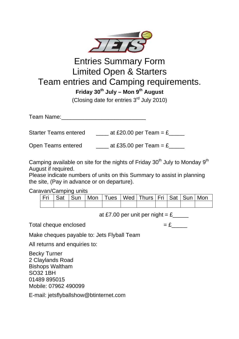

### Entries Summary Form Limited Open & Starters Team entries and Camping requirements.

**Friday 30th July – Mon 9th August** 

(Closing date for entries  $3<sup>rd</sup>$  July 2010)

Team Name:

Starter Teams entered  $\qquad \qquad \qquad$  at £20.00 per Team = £\_\_\_\_\_

Open Teams entered  $\qquad \qquad \qquad$  at £35.00 per Team = £\_\_\_\_\_

Camping available on site for the nights of Friday 30<sup>th</sup> July to Monday 9<sup>th</sup> August if required.

Please indicate numbers of units on this Summary to assist in planning the site, (Pay in advance or on departure).

Caravan/Camping units

|  |  |  | Fri   Sat   Sun   Mon   Tues   Wed   Thurs   Fri   Sat   Sun   Mon |  |  |
|--|--|--|--------------------------------------------------------------------|--|--|
|  |  |  |                                                                    |  |  |

at £7.00 per unit per night =  $£$  \_\_\_\_\_\_\_

Total cheque enclosed  $=  $\pounds$$ 

Make cheques payable to: Jets Flyball Team

All returns and enquiries to:

Becky Turner 2 Claylands Road Bishops Waltham SO32 1BH 01489 895015 Mobile: 07962 490099

E-mail: jetsflyballshow@btinternet.com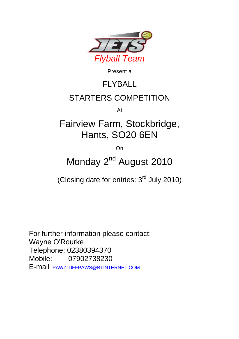

Present a

# FLYBALL

## STARTERS COMPETITION

At

## Fairview Farm, Stockbridge, Hants, SO20 6EN

**On** 

## Monday 2<sup>nd</sup> August 2010

(Closing date for entries:  $3<sup>rd</sup>$  July 2010)

For further information please contact: Wayne O'Rourke Telephone: 02380394370 Mobile: 07902738230 E-mail: PAWZITIFFPAWS@BTINTERNET.COM